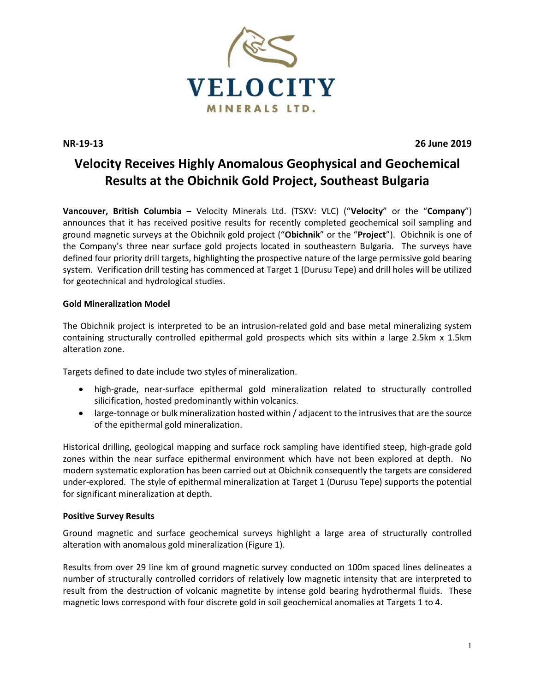

**NR-19-13 26 June 2019**

# **Velocity Receives Highly Anomalous Geophysical and Geochemical Results at the Obichnik Gold Project, Southeast Bulgaria**

**Vancouver, British Columbia** – Velocity Minerals Ltd. (TSXV: VLC) ("**Velocity**" or the "**Company**") announces that it has received positive results for recently completed geochemical soil sampling and ground magnetic surveys at the Obichnik gold project ("**Obichnik**" or the "**Project**"). Obichnik is one of the Company's three near surface gold projects located in southeastern Bulgaria. The surveys have defined four priority drill targets, highlighting the prospective nature of the large permissive gold bearing system. Verification drill testing has commenced at Target 1 (Durusu Tepe) and drill holes will be utilized for geotechnical and hydrological studies.

# **Gold Mineralization Model**

The Obichnik project is interpreted to be an intrusion-related gold and base metal mineralizing system containing structurally controlled epithermal gold prospects which sits within a large 2.5km x 1.5km alteration zone.

Targets defined to date include two styles of mineralization.

- high-grade, near-surface epithermal gold mineralization related to structurally controlled silicification, hosted predominantly within volcanics.
- large-tonnage or bulk mineralization hosted within / adjacent to the intrusives that are the source of the epithermal gold mineralization.

Historical drilling, geological mapping and surface rock sampling have identified steep, high-grade gold zones within the near surface epithermal environment which have not been explored at depth. No modern systematic exploration has been carried out at Obichnik consequently the targets are considered under-explored. The style of epithermal mineralization at Target 1 (Durusu Tepe) supports the potential for significant mineralization at depth.

### **Positive Survey Results**

Ground magnetic and surface geochemical surveys highlight a large area of structurally controlled alteration with anomalous gold mineralization (Figure 1).

Results from over 29 line km of ground magnetic survey conducted on 100m spaced lines delineates a number of structurally controlled corridors of relatively low magnetic intensity that are interpreted to result from the destruction of volcanic magnetite by intense gold bearing hydrothermal fluids. These magnetic lows correspond with four discrete gold in soil geochemical anomalies at Targets 1 to 4.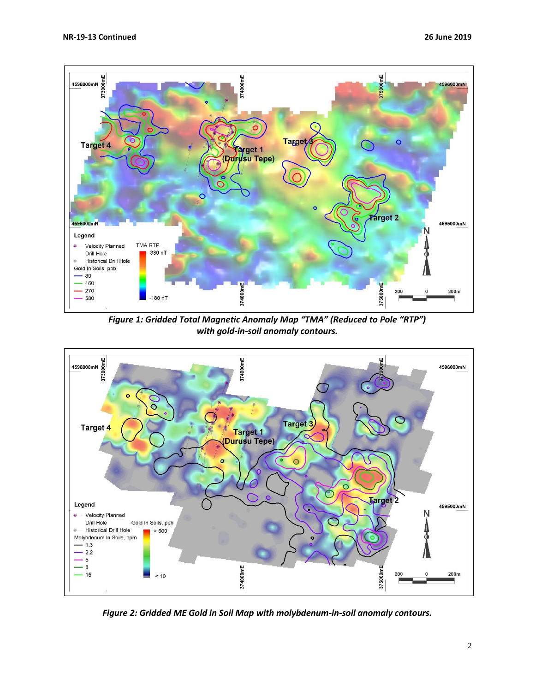

*Figure 1: Gridded Total Magnetic Anomaly Map "TMA" (Reduced to Pole "RTP") with gold-in-soil anomaly contours.*



*Figure 2: Gridded ME Gold in Soil Map with molybdenum-in-soil anomaly contours.*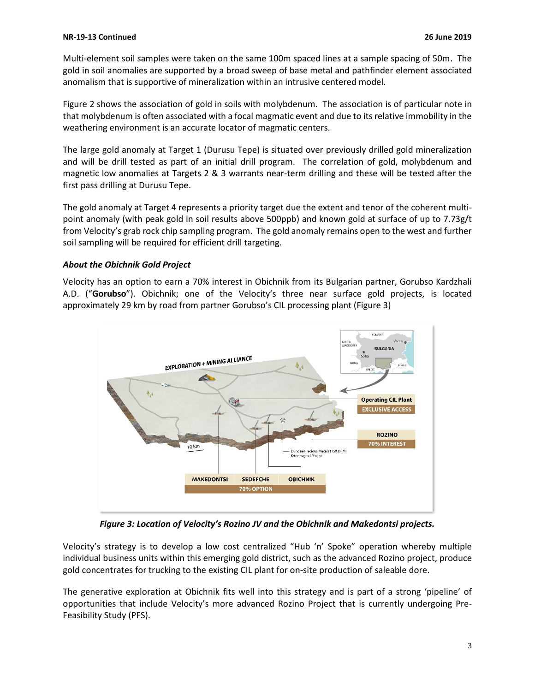Multi-element soil samples were taken on the same 100m spaced lines at a sample spacing of 50m. The gold in soil anomalies are supported by a broad sweep of base metal and pathfinder element associated anomalism that is supportive of mineralization within an intrusive centered model.

Figure 2 shows the association of gold in soils with molybdenum. The association is of particular note in that molybdenum is often associated with a focal magmatic event and due to its relative immobility in the weathering environment is an accurate locator of magmatic centers.

The large gold anomaly at Target 1 (Durusu Tepe) is situated over previously drilled gold mineralization and will be drill tested as part of an initial drill program. The correlation of gold, molybdenum and magnetic low anomalies at Targets 2 & 3 warrants near-term drilling and these will be tested after the first pass drilling at Durusu Tepe.

The gold anomaly at Target 4 represents a priority target due the extent and tenor of the coherent multipoint anomaly (with peak gold in soil results above 500ppb) and known gold at surface of up to 7.73g/t from Velocity's grab rock chip sampling program. The gold anomaly remains open to the west and further soil sampling will be required for efficient drill targeting.

# *About the Obichnik Gold Project*

Velocity has an option to earn a 70% interest in Obichnik from its Bulgarian partner, Gorubso Kardzhali A.D. ("**Gorubso**"). Obichnik; one of the Velocity's three near surface gold projects, is located approximately 29 km by road from partner Gorubso's CIL processing plant (Figure 3)



*Figure 3: Location of Velocity's Rozino JV and the Obichnik and Makedontsi projects.*

Velocity's strategy is to develop a low cost centralized "Hub 'n' Spoke" operation whereby multiple individual business units within this emerging gold district, such as the advanced Rozino project, produce gold concentrates for trucking to the existing CIL plant for on-site production of saleable dore.

The generative exploration at Obichnik fits well into this strategy and is part of a strong 'pipeline' of opportunities that include Velocity's more advanced Rozino Project that is currently undergoing Pre-Feasibility Study (PFS).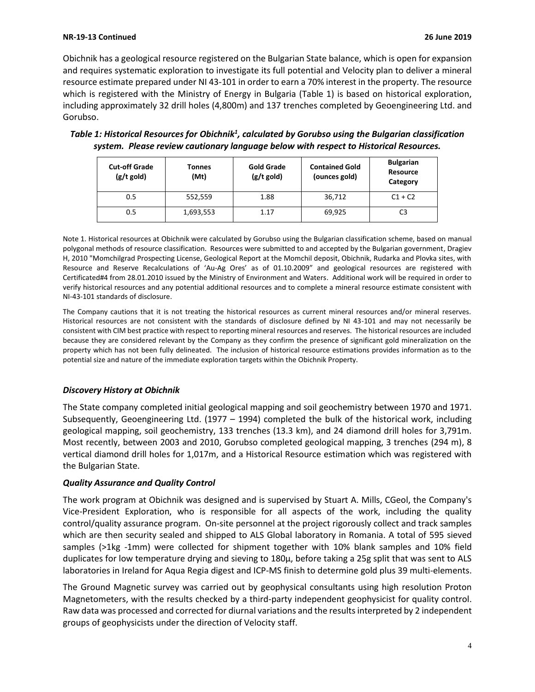#### **NR-19-13 Continued 26 June 2019**

Obichnik has a geological resource registered on the Bulgarian State balance, which is open for expansion and requires systematic exploration to investigate its full potential and Velocity plan to deliver a mineral resource estimate prepared under NI 43-101 in order to earn a 70% interest in the property. The resource which is registered with the Ministry of Energy in Bulgaria (Table 1) is based on historical exploration, including approximately 32 drill holes (4,800m) and 137 trenches completed by Geoengineering Ltd. and Gorubso.

| <b>Cut-off Grade</b><br>$(g/t \text{ gold})$ | <b>Tonnes</b><br>(Mt) | <b>Gold Grade</b><br>$(g/t$ gold) | <b>Contained Gold</b><br>(ounces gold) | <b>Bulgarian</b><br>Resource<br>Category |
|----------------------------------------------|-----------------------|-----------------------------------|----------------------------------------|------------------------------------------|
| 0.5                                          | 552,559               | 1.88                              | 36,712                                 | $C1 + C2$                                |
| 0.5                                          | 1,693,553             | 1.17                              | 69,925                                 | C3                                       |

*Table 1: Historical Resources for Obichnik<sup>1</sup> , calculated by Gorubso using the Bulgarian classification system. Please review cautionary language below with respect to Historical Resources.*

Note 1. Historical resources at Obichnik were calculated by Gorubso using the Bulgarian classification scheme, based on manual polygonal methods of resource classification. Resources were submitted to and accepted by the Bulgarian government, Dragiev H, 2010 "Momchilgrad Prospecting License, Geological Report at the Momchil deposit, Obichnik, Rudarka and Plovka sites, with Resource and Reserve Recalculations of 'Au-Ag Ores' as of 01.10.2009" and geological resources are registered with Certificated#4 from 28.01.2010 issued by the Ministry of Environment and Waters. Additional work will be required in order to verify historical resources and any potential additional resources and to complete a mineral resource estimate consistent with NI-43-101 standards of disclosure.

The Company cautions that it is not treating the historical resources as current mineral resources and/or mineral reserves. Historical resources are not consistent with the standards of disclosure defined by NI 43-101 and may not necessarily be consistent with CIM best practice with respect to reporting mineral resources and reserves. The historical resources are included because they are considered relevant by the Company as they confirm the presence of significant gold mineralization on the property which has not been fully delineated. The inclusion of historical resource estimations provides information as to the potential size and nature of the immediate exploration targets within the Obichnik Property.

### *Discovery History at Obichnik*

The State company completed initial geological mapping and soil geochemistry between 1970 and 1971. Subsequently, Geoengineering Ltd. (1977 – 1994) completed the bulk of the historical work, including geological mapping, soil geochemistry, 133 trenches (13.3 km), and 24 diamond drill holes for 3,791m. Most recently, between 2003 and 2010, Gorubso completed geological mapping, 3 trenches (294 m), 8 vertical diamond drill holes for 1,017m, and a Historical Resource estimation which was registered with the Bulgarian State.

### *Quality Assurance and Quality Control*

The work program at Obichnik was designed and is supervised by Stuart A. Mills, CGeol, the Company's Vice-President Exploration, who is responsible for all aspects of the work, including the quality control/quality assurance program. On-site personnel at the project rigorously collect and track samples which are then security sealed and shipped to ALS Global laboratory in Romania. A total of 595 sieved samples (>1kg -1mm) were collected for shipment together with 10% blank samples and 10% field duplicates for low temperature drying and sieving to 180µ, before taking a 25g split that was sent to ALS laboratories in Ireland for Aqua Regia digest and ICP-MS finish to determine gold plus 39 multi-elements.

The Ground Magnetic survey was carried out by geophysical consultants using high resolution Proton Magnetometers, with the results checked by a third-party independent geophysicist for quality control. Raw data was processed and corrected for diurnal variations and the results interpreted by 2 independent groups of geophysicists under the direction of Velocity staff.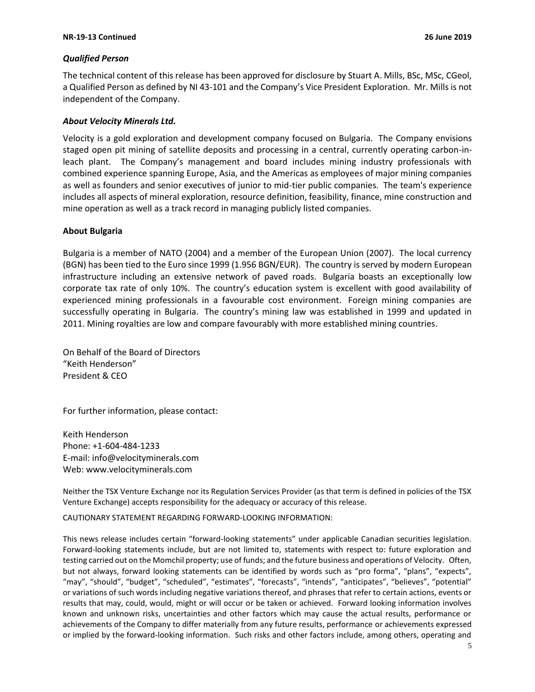#### **NR-19-13 Continued 26 June 2019**

#### *Qualified Person*

The technical content of this release has been approved for disclosure by Stuart A. Mills, BSc, MSc, CGeol, a Qualified Person as defined by NI 43-101 and the Company's Vice President Exploration. Mr. Mills is not independent of the Company.

#### *About Velocity Minerals Ltd.*

Velocity is a gold exploration and development company focused on Bulgaria. The Company envisions staged open pit mining of satellite deposits and processing in a central, currently operating carbon-inleach plant. The Company's management and board includes mining industry professionals with combined experience spanning Europe, Asia, and the Americas as employees of major mining companies as well as founders and senior executives of junior to mid-tier public companies. The team's experience includes all aspects of mineral exploration, resource definition, feasibility, finance, mine construction and mine operation as well as a track record in managing publicly listed companies.

#### **About Bulgaria**

Bulgaria is a member of NATO (2004) and a member of the European Union (2007). The local currency (BGN) has been tied to the Euro since 1999 (1.956 BGN/EUR). The country is served by modern European infrastructure including an extensive network of paved roads. Bulgaria boasts an exceptionally low corporate tax rate of only 10%. The country's education system is excellent with good availability of experienced mining professionals in a favourable cost environment. Foreign mining companies are successfully operating in Bulgaria. The country's mining law was established in 1999 and updated in 2011. Mining royalties are low and compare favourably with more established mining countries.

On Behalf of the Board of Directors "Keith Henderson" President & CEO

For further information, please contact:

Keith Henderson Phone: +1-604-484-1233 E-mail: [info@velocityminerals.com](mailto:info@velocityminerals.com) Web: [www.velocityminerals.com](http://www.velocityminerals.com/)

Neither the TSX Venture Exchange nor its Regulation Services Provider (as that term is defined in policies of the TSX Venture Exchange) accepts responsibility for the adequacy or accuracy of this release.

CAUTIONARY STATEMENT REGARDING FORWARD-LOOKING INFORMATION:

This news release includes certain "forward-looking statements" under applicable Canadian securities legislation. Forward-looking statements include, but are not limited to, statements with respect to: future exploration and testing carried out on the Momchil property; use of funds; and the future business and operations of Velocity. Often, but not always, forward looking statements can be identified by words such as "pro forma", "plans", "expects", "may", "should", "budget", "scheduled", "estimates", "forecasts", "intends", "anticipates", "believes", "potential" or variations of such words including negative variations thereof, and phrases that refer to certain actions, events or results that may, could, would, might or will occur or be taken or achieved. Forward looking information involves known and unknown risks, uncertainties and other factors which may cause the actual results, performance or achievements of the Company to differ materially from any future results, performance or achievements expressed or implied by the forward-looking information. Such risks and other factors include, among others, operating and